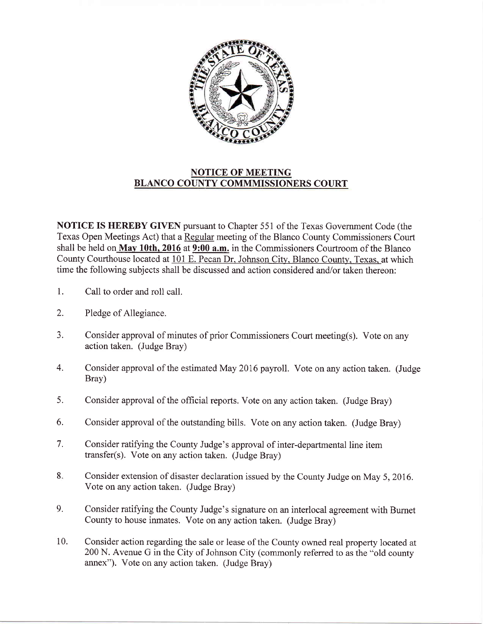

## NOTICE OF MEETING BLANCO COUNTY COMMMISSIONERS COURT

NOTICE IS HEREBY GIVEN pursuant to Chapter 551 of the Texas Government Code (the Texas Open Meetings Act) that a Regular meeting of the Blanco County Commissioners Court shall be held on May 10th, 2016 at 9:00 a.m. in the Commissioners Courtroom of the Blanco County Courthouse located at 101 E. Pecan Dr. Johnson City. Blanco County. Texas. at which time the following subjects shall be discussed and action considered and/or taken thereon:

- 1. Call to order and roll call.
- 2. Pledge of Allegiance.
- 3. Consider approval of minutes of prior Commissioners Court meeting(s). Vote on any action taken. (Judge Bray)
- 4. Consider approval of the estimated May 2016 payroll. Vote on any action taken. (Judge Bray)
- Consider approval of the official reports. Vote on any action taken. (Judge Bray) 5.
- Consider approval of the outstanding bills. Vote on any action taken. (Judge Bray) 6.
- Consider ratifying the County Judge's approval of inter-departmental line item transfer(s). Vote on any action taken. (Judge Bray) 7.
- Consider extension of disaster declaration issued by the County Judge on May 5,2016. Vote on any action taken. (Judge Bray) 8.
- Consider ratifying the County Judge's signature on an interlocal agreement with Burnet County to house inmates. Vote on any action taken. (Judge Bray) 9.
- Consider action regarding the sale or lease of the County owned real property located at 200 N. Avenue G in the City of Johnson City (commonly referred to as the "old county annex"). Vote on any action taken. (Judge Bray) 10.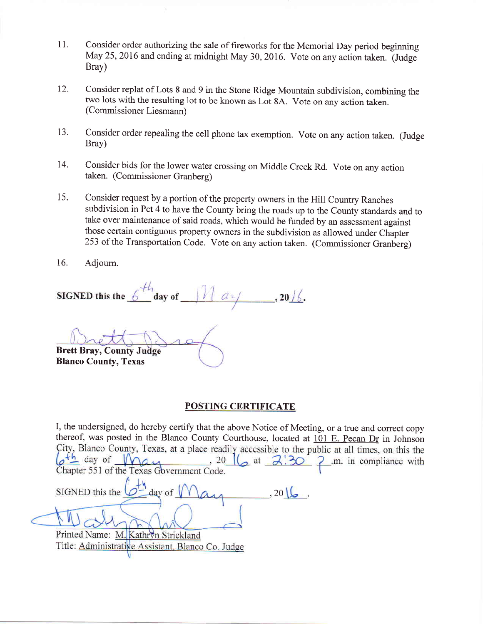- 11. Consider order authorizing the sale of fireworks for the Memorial Day period beginning May 25,2016 and ending at midnight May 30, 2016. Vote on any action taken. (Judge Bray)
- 12. Consider replat of Lots 8 and 9 in the Stone Ridge Mountain subdivision, combining the two lots with the resulting lot to be known as Lot 8A. Vote on any action taken. (Commissioner Liesmann)
- 13. Consider order repealing the cell phone tax exemption. Vote on any action taken. (Judge Bray)
- 14. Consider bids for the lower water crossing on Middle Creek Rd. Vote on any action taken. (Commissioner Granberg)
- 15. Consider request by a portion of the property owners in the Hill Country Ranches subdivision in Pct 4 to have the County bring the roads up to the County standards and to take over maintenance of said roads, which would be funded by an assessment against those certain contiguous property owners in the subdivision as allowed under Chapter 253 of the Transportation Code. Vote on any action taken. (Commissioner Granberg)
- 16. Adjoum.

SIGNED this the  $6^{+t_1}_{-}$  day of  $, 20/6.$ 

Brett Bray, County J Blanco County, Texas

## POSTING CERTIFICATE

I, the undersigned, do hereby certify that the above Notice of Meeting, or a true and correct copy thereof, was posted in the Blanco County Courthouse, located at  $101$  E. Pecan Dr in Johnson City, Blanco County, Texas, at a place readily accessible to the public at all times, on this the  $\sigma^{+h}$  day of May  $, 20$  $\sqrt{a}$  at  $\sqrt{a}$ .m. in compliance with  $\mathcal{P}$ Chapter 551 of the Texas Government Code.  $\frac{1}{2}$  day of  $\sqrt{ }$ SIGNED this the  $.201$ 

Printed Name: M. Kathryn Strickland Title: Administrative Assistant, Blanco Co. Judge